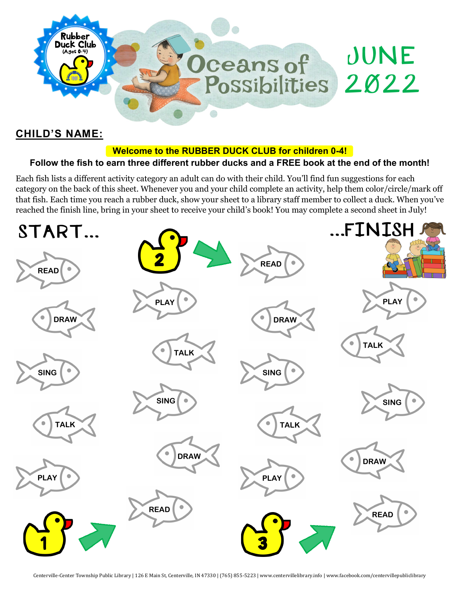

#### **CHILD'S NAME:**

#### **Welcome to the RUBBER DUCK CLUB for children 0-4!**

#### **Follow the fish to earn three different rubber ducks and a FREE book at the end of the month!**

Each fish lists a different activity category an adult can do with their child. You'll find fun suggestions for each category on the back of this sheet. Whenever you and your child complete an activity, help them color/circle/mark off that fish. Each time you reach a rubber duck, show your sheet to a library staff member to collect a duck. When you've reached the finish line, bring in your sheet to receive your child's book! You may complete a second sheet in July!